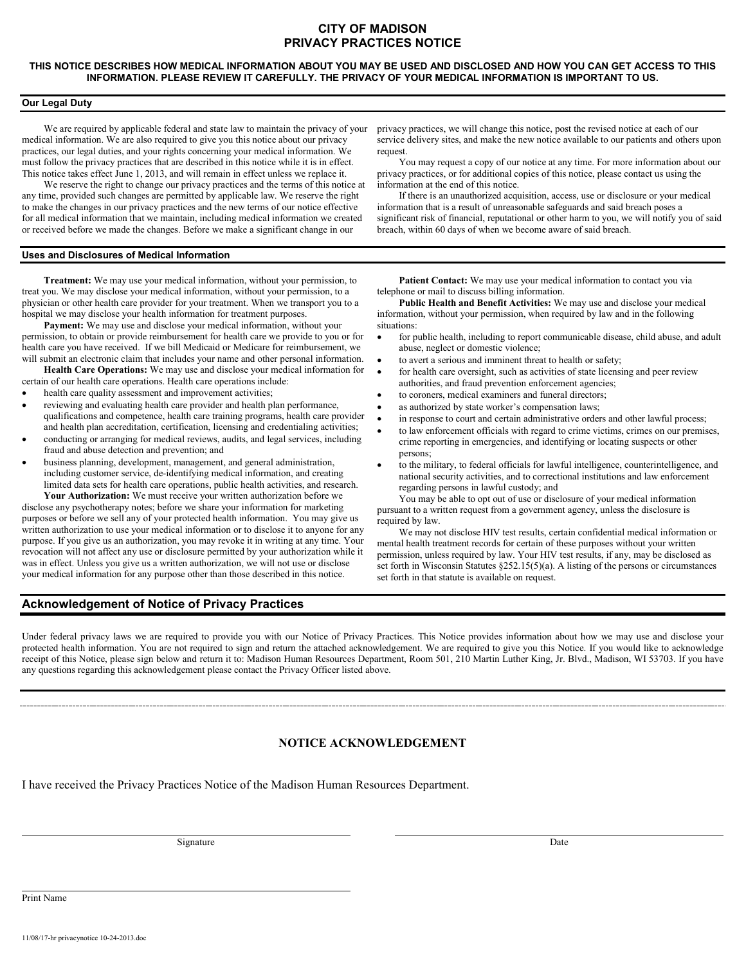# **CITY OF MADISON PRIVACY PRACTICES NOTICE**

### **THIS NOTICE DESCRIBES HOW MEDICAL INFORMATION ABOUT YOU MAY BE USED AND DISCLOSED AND HOW YOU CAN GET ACCESS TO THIS INFORMATION. PLEASE REVIEW IT CAREFULLY. THE PRIVACY OF YOUR MEDICAL INFORMATION IS IMPORTANT TO US.**

## **Our Legal Duty**

We are required by applicable federal and state law to maintain the privacy of your medical information. We are also required to give you this notice about our privacy practices, our legal duties, and your rights concerning your medical information. We must follow the privacy practices that are described in this notice while it is in effect. This notice takes effect June 1, 2013, and will remain in effect unless we replace it.

We reserve the right to change our privacy practices and the terms of this notice at any time, provided such changes are permitted by applicable law. We reserve the right to make the changes in our privacy practices and the new terms of our notice effective for all medical information that we maintain, including medical information we created or received before we made the changes. Before we make a significant change in our

## **Uses and Disclosures of Medical Information**

**Treatment:** We may use your medical information, without your permission, to treat you. We may disclose your medical information, without your permission, to a physician or other health care provider for your treatment. When we transport you to a hospital we may disclose your health information for treatment purposes.

**Payment:** We may use and disclose your medical information, without your permission, to obtain or provide reimbursement for health care we provide to you or for health care you have received. If we bill Medicaid or Medicare for reimbursement, we will submit an electronic claim that includes your name and other personal information.

**Health Care Operations:** We may use and disclose your medical information for certain of our health care operations. Health care operations include:

- health care quality assessment and improvement activities;
- reviewing and evaluating health care provider and health plan performance, qualifications and competence, health care training programs, health care provider and health plan accreditation, certification, licensing and credentialing activities;
- conducting or arranging for medical reviews, audits, and legal services, including fraud and abuse detection and prevention; and
- business planning, development, management, and general administration, including customer service, de-identifying medical information, and creating limited data sets for health care operations, public health activities, and research.

**Your Authorization:** We must receive your written authorization before we disclose any psychotherapy notes; before we share your information for marketing purposes or before we sell any of your protected health information. You may give us written authorization to use your medical information or to disclose it to anyone for any purpose. If you give us an authorization, you may revoke it in writing at any time. Your revocation will not affect any use or disclosure permitted by your authorization while it was in effect. Unless you give us a written authorization, we will not use or disclose your medical information for any purpose other than those described in this notice.

**Acknowledgement of Notice of Privacy Practices**

privacy practices, we will change this notice, post the revised notice at each of our service delivery sites, and make the new notice available to our patients and others upon request.

You may request a copy of our notice at any time. For more information about our privacy practices, or for additional copies of this notice, please contact us using the information at the end of this notice.

If there is an unauthorized acquisition, access, use or disclosure or your medical information that is a result of unreasonable safeguards and said breach poses a significant risk of financial, reputational or other harm to you, we will notify you of said breach, within 60 days of when we become aware of said breach.

**Patient Contact:** We may use your medical information to contact you via telephone or mail to discuss billing information.

**Public Health and Benefit Activities:** We may use and disclose your medical information, without your permission, when required by law and in the following situations:

- for public health, including to report communicable disease, child abuse, and adult abuse, neglect or domestic violence;
- to avert a serious and imminent threat to health or safety;
- for health care oversight, such as activities of state licensing and peer review authorities, and fraud prevention enforcement agencies;
- to coroners, medical examiners and funeral directors;
- as authorized by state worker's compensation laws;
- in response to court and certain administrative orders and other lawful process;
- to law enforcement officials with regard to crime victims, crimes on our premises, crime reporting in emergencies, and identifying or locating suspects or other persons;
- to the military, to federal officials for lawful intelligence, counterintelligence, and national security activities, and to correctional institutions and law enforcement regarding persons in lawful custody; and

You may be able to opt out of use or disclosure of your medical information pursuant to a written request from a government agency, unless the disclosure is required by law.

We may not disclose HIV test results, certain confidential medical information or mental health treatment records for certain of these purposes without your written permission, unless required by law. Your HIV test results, if any, may be disclosed as set forth in Wisconsin Statutes §252.15(5)(a). A listing of the persons or circumstances set forth in that statute is available on request.

Under federal privacy laws we are required to provide you with our Notice of Privacy Practices. This Notice provides information about how we may use and disclose your protected health information. You are not required to sign and return the attached acknowledgement. We are required to give you this Notice. If you would like to acknowledge receipt of this Notice, please sign below and return it to: Madison Human Resources Department, Room 501, 210 Martin Luther King, Jr. Blvd., Madison, WI 53703. If you have any questions regarding this acknowledgement please contact the Privacy Officer listed above.

## **NOTICE ACKNOWLEDGEMENT**

I have received the Privacy Practices Notice of the Madison Human Resources Department.

Signature Date Date of the Date of the United States of the Date of the Date of the Date of the Date of the United States of the United States of the United States of the United States of the United States of the United St

Print Name